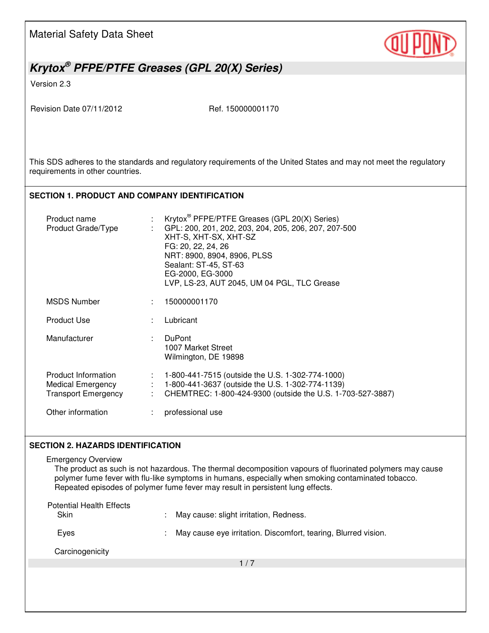Material Safety Data Sheet



# *Krytox® PFPE/PTFE Greases (GPL 20(X) Series)*

Version 2.3

Revision Date 07/11/2012 Ref. 150000001170

This SDS adheres to the standards and regulatory requirements of the United States and may not meet the regulatory requirements in other countries.

#### **SECTION 1. PRODUCT AND COMPANY IDENTIFICATION**

| Product name<br>Product Grade/Type                                     |                                    | Krytox <sup>®</sup> PFPE/PTFE Greases (GPL 20(X) Series)<br>GPL: 200, 201, 202, 203, 204, 205, 206, 207, 207-500<br>XHT-S, XHT-SX, XHT-SZ<br>FG: 20, 22, 24, 26<br>NRT: 8900, 8904, 8906, PLSS<br>Sealant: ST-45, ST-63<br>EG-2000, EG-3000<br>LVP, LS-23, AUT 2045, UM 04 PGL, TLC Grease |
|------------------------------------------------------------------------|------------------------------------|--------------------------------------------------------------------------------------------------------------------------------------------------------------------------------------------------------------------------------------------------------------------------------------------|
| <b>MSDS Number</b>                                                     |                                    | 150000001170                                                                                                                                                                                                                                                                               |
| <b>Product Use</b>                                                     |                                    | Lubricant                                                                                                                                                                                                                                                                                  |
| Manufacturer                                                           | ÷.                                 | <b>DuPont</b><br>1007 Market Street<br>Wilmington, DE 19898                                                                                                                                                                                                                                |
| Product Information<br>Medical Emergency<br><b>Transport Emergency</b> | $\mathcal{I}^{\mathcal{I}}$ .<br>÷ | 1-800-441-7515 (outside the U.S. 1-302-774-1000)<br>1-800-441-3637 (outside the U.S. 1-302-774-1139)<br>CHEMTREC: 1-800-424-9300 (outside the U.S. 1-703-527-3887)                                                                                                                         |
| Other information                                                      |                                    | professional use                                                                                                                                                                                                                                                                           |

#### **SECTION 2. HAZARDS IDENTIFICATION**

 $1/7$ Emergency Overview The product as such is not hazardous. The thermal decomposition vapours of fluorinated polymers may cause polymer fume fever with flu-like symptoms in humans, especially when smoking contaminated tobacco. Repeated episodes of polymer fume fever may result in persistent lung effects. Potential Health Effects Skin : May cause: slight irritation, Redness. Eyes : May cause eye irritation. Discomfort, tearing, Blurred vision. **Carcinogenicity**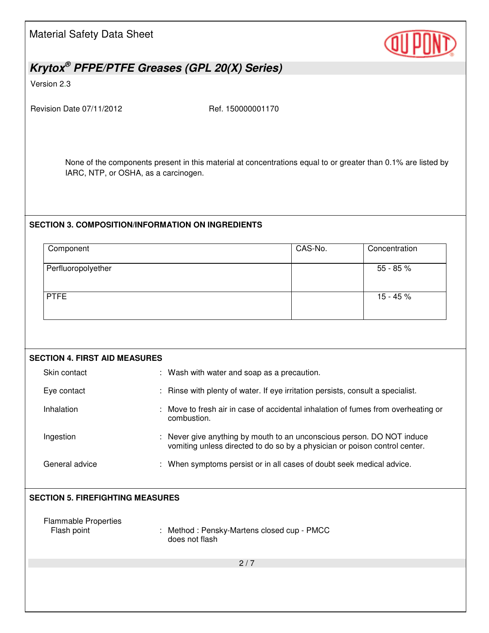Material Safety Data Sheet



## *Krytox® PFPE/PTFE Greases (GPL 20(X) Series)*

Version 2.3

Revision Date 07/11/2012 Ref. 150000001170

None of the components present in this material at concentrations equal to or greater than 0.1% are listed by IARC, NTP, or OSHA, as a carcinogen.

### **SECTION 3. COMPOSITION/INFORMATION ON INGREDIENTS**

| CAS-No. | Concentration |
|---------|---------------|
|         | 55 - 85 %     |
|         | $15 - 45%$    |
|         |               |

| <b>SECTION 4. FIRST AID MEASURES</b>       |                                                                                                                                                    |  |  |  |
|--------------------------------------------|----------------------------------------------------------------------------------------------------------------------------------------------------|--|--|--|
| Skin contact                               | : Wash with water and soap as a precaution.                                                                                                        |  |  |  |
| Eye contact                                | Rinse with plenty of water. If eye irritation persists, consult a specialist.                                                                      |  |  |  |
| Inhalation                                 | Move to fresh air in case of accidental inhalation of fumes from overheating or<br>combustion.                                                     |  |  |  |
| Ingestion                                  | Never give anything by mouth to an unconscious person. DO NOT induce<br>vomiting unless directed to do so by a physician or poison control center. |  |  |  |
| General advice                             | : When symptoms persist or in all cases of doubt seek medical advice.                                                                              |  |  |  |
|                                            |                                                                                                                                                    |  |  |  |
| <b>SECTION 5. FIREFIGHTING MEASURES</b>    |                                                                                                                                                    |  |  |  |
| <b>Flammable Properties</b><br>Flash point | Method: Pensky-Martens closed cup - PMCC<br>does not flash                                                                                         |  |  |  |
|                                            | 2/7                                                                                                                                                |  |  |  |
|                                            |                                                                                                                                                    |  |  |  |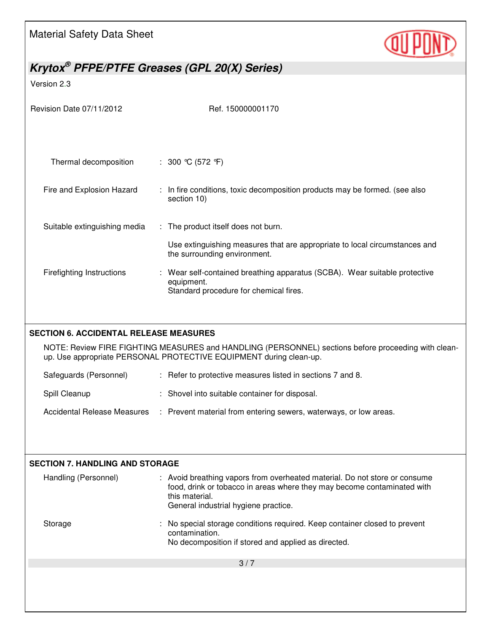Material Safety Data Sheet



## *Krytox® PFPE/PTFE Greases (GPL 20(X) Series)*

Version 2.3

| Revision Date 07/11/2012                      | Ref. 150000001170                                                                                                                                                                                               |  |  |
|-----------------------------------------------|-----------------------------------------------------------------------------------------------------------------------------------------------------------------------------------------------------------------|--|--|
|                                               |                                                                                                                                                                                                                 |  |  |
| Thermal decomposition                         | : $300 \text{ °C} (572 \text{ °F})$                                                                                                                                                                             |  |  |
| Fire and Explosion Hazard                     | : In fire conditions, toxic decomposition products may be formed. (see also<br>section 10)                                                                                                                      |  |  |
| Suitable extinguishing media                  | : The product itself does not burn.                                                                                                                                                                             |  |  |
|                                               | Use extinguishing measures that are appropriate to local circumstances and<br>the surrounding environment.                                                                                                      |  |  |
| <b>Firefighting Instructions</b>              | : Wear self-contained breathing apparatus (SCBA). Wear suitable protective<br>equipment.<br>Standard procedure for chemical fires.                                                                              |  |  |
|                                               |                                                                                                                                                                                                                 |  |  |
| <b>SECTION 6. ACCIDENTAL RELEASE MEASURES</b> | NOTE: Review FIRE FIGHTING MEASURES and HANDLING (PERSONNEL) sections before proceeding with clean-<br>up. Use appropriate PERSONAL PROTECTIVE EQUIPMENT during clean-up.                                       |  |  |
| Safeguards (Personnel)                        | : Refer to protective measures listed in sections 7 and 8.                                                                                                                                                      |  |  |
| Spill Cleanup                                 | : Shovel into suitable container for disposal.                                                                                                                                                                  |  |  |
| <b>Accidental Release Measures</b>            | : Prevent material from entering sewers, waterways, or low areas.                                                                                                                                               |  |  |
|                                               |                                                                                                                                                                                                                 |  |  |
| <b>SECTION 7. HANDLING AND STORAGE</b>        |                                                                                                                                                                                                                 |  |  |
| Handling (Personnel)                          | : Avoid breathing vapors from overheated material. Do not store or consume<br>food, drink or tobacco in areas where they may become contaminated with<br>this material.<br>General industrial hygiene practice. |  |  |
| Storage                                       | No special storage conditions required. Keep container closed to prevent<br>contamination.<br>No decomposition if stored and applied as directed.                                                               |  |  |
|                                               | 3/7                                                                                                                                                                                                             |  |  |
|                                               |                                                                                                                                                                                                                 |  |  |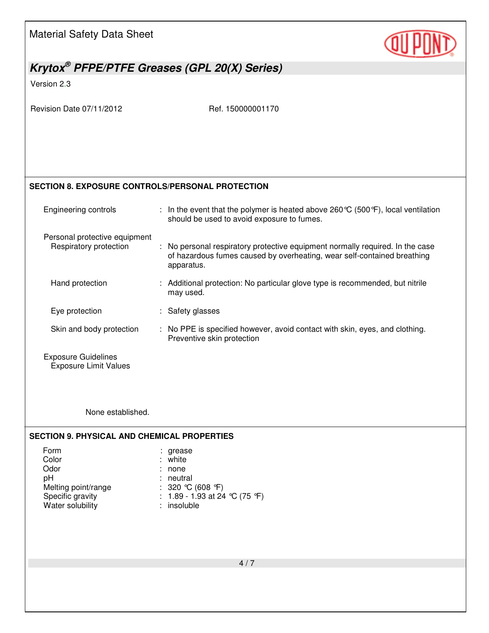Material Safety Data Sheet *Krytox® PFPE/PTFE Greases (GPL 20(X) Series)*  Version 2.3 Revision Date 07/11/2012 Ref. 150000001170 4 / 7 **SECTION 8. EXPOSURE CONTROLS/PERSONAL PROTECTION**  Engineering controls : In the event that the polymer is heated above 260 °C (500 °F), local ventilation should be used to avoid exposure to fumes. Personal protective equipment Respiratory protection : No personal respiratory protective equipment normally required. In the case of hazardous fumes caused by overheating, wear self-contained breathing apparatus. Hand protection : Additional protection: No particular glove type is recommended, but nitrile may used. Eye protection : Safety glasses Skin and body protection : No PPE is specified however, avoid contact with skin, eyes, and clothing. Preventive skin protection Exposure Guidelines Exposure Limit Values None established. **SECTION 9. PHYSICAL AND CHEMICAL PROPERTIES**  Form : grease : grease Color : white Odor : none : none pH : neutral Melting point/range : 320 °C (608 °F)<br>
Specific gravity : 1.89 - 1.93 at 24 : 1.89 - 1.93 at 24 °C (75 °F)<br>: insoluble Water solubility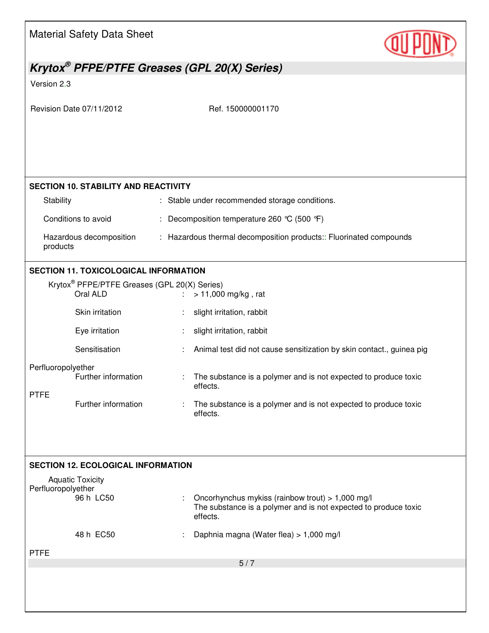|                    | <b>Material Safety Data Sheet</b>                                    |                                                                                                                                 |  |
|--------------------|----------------------------------------------------------------------|---------------------------------------------------------------------------------------------------------------------------------|--|
|                    |                                                                      | Krytox <sup>®</sup> PFPE/PTFE Greases (GPL 20(X) Series)                                                                        |  |
| Version 2.3        |                                                                      |                                                                                                                                 |  |
|                    | Revision Date 07/11/2012                                             | Ref. 150000001170                                                                                                               |  |
|                    | <b>SECTION 10. STABILITY AND REACTIVITY</b>                          |                                                                                                                                 |  |
| Stability          |                                                                      | : Stable under recommended storage conditions.                                                                                  |  |
|                    | Conditions to avoid                                                  | : Decomposition temperature 260 °C (500 °F)                                                                                     |  |
| products           | Hazardous decomposition                                              | : Hazardous thermal decomposition products: Fluorinated compounds                                                               |  |
|                    | <b>SECTION 11. TOXICOLOGICAL INFORMATION</b>                         |                                                                                                                                 |  |
|                    | Krytox <sup>®</sup> PFPE/PTFE Greases (GPL 20(X) Series)<br>Oral ALD | $> 11,000$ mg/kg, rat                                                                                                           |  |
|                    | Skin irritation                                                      | slight irritation, rabbit                                                                                                       |  |
|                    | Eye irritation                                                       | slight irritation, rabbit                                                                                                       |  |
|                    | Sensitisation                                                        | Animal test did not cause sensitization by skin contact., guinea pig                                                            |  |
| Perfluoropolyether | Further information                                                  | The substance is a polymer and is not expected to produce toxic<br>effects.                                                     |  |
| <b>PTFE</b>        | Further information                                                  | The substance is a polymer and is not expected to produce toxic<br>effects.                                                     |  |
|                    |                                                                      |                                                                                                                                 |  |
|                    | <b>SECTION 12. ECOLOGICAL INFORMATION</b>                            |                                                                                                                                 |  |
| Perfluoropolyether | <b>Aquatic Toxicity</b><br>96 h LC50                                 | Oncorhynchus mykiss (rainbow trout) > 1,000 mg/l<br>The substance is a polymer and is not expected to produce toxic<br>effects. |  |
|                    | 48 h EC50                                                            | Daphnia magna (Water flea) > 1,000 mg/l                                                                                         |  |
| <b>PTFE</b>        |                                                                      |                                                                                                                                 |  |
|                    |                                                                      | 5/7                                                                                                                             |  |
|                    |                                                                      |                                                                                                                                 |  |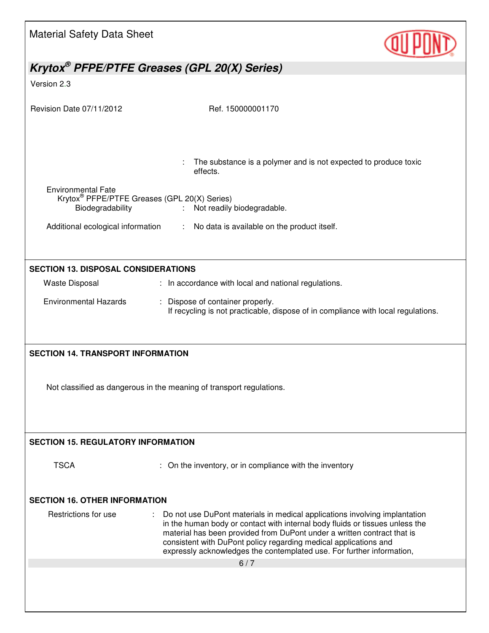| <b>Material Safety Data Sheet</b>                                            |                                                                                                                                             |  |  |  |
|------------------------------------------------------------------------------|---------------------------------------------------------------------------------------------------------------------------------------------|--|--|--|
| Krytox <sup>®</sup> PFPE/PTFE Greases (GPL 20(X) Series)                     |                                                                                                                                             |  |  |  |
| Version 2.3                                                                  |                                                                                                                                             |  |  |  |
|                                                                              |                                                                                                                                             |  |  |  |
| Revision Date 07/11/2012                                                     | Ref. 150000001170                                                                                                                           |  |  |  |
|                                                                              |                                                                                                                                             |  |  |  |
|                                                                              | The substance is a polymer and is not expected to produce toxic<br>effects.                                                                 |  |  |  |
| <b>Environmental Fate</b>                                                    |                                                                                                                                             |  |  |  |
| Krytox <sup>®</sup> PFPE/PTFE Greases (GPL 20(X) Series)<br>Biodegradability | Not readily biodegradable.                                                                                                                  |  |  |  |
|                                                                              | Additional ecological information : No data is available on the product itself.                                                             |  |  |  |
|                                                                              |                                                                                                                                             |  |  |  |
|                                                                              |                                                                                                                                             |  |  |  |
| <b>SECTION 13. DISPOSAL CONSIDERATIONS</b>                                   |                                                                                                                                             |  |  |  |
| <b>Waste Disposal</b>                                                        | : In accordance with local and national regulations.                                                                                        |  |  |  |
| <b>Environmental Hazards</b>                                                 | : Dispose of container properly.<br>If recycling is not practicable, dispose of in compliance with local regulations.                       |  |  |  |
|                                                                              |                                                                                                                                             |  |  |  |
| <b>SECTION 14. TRANSPORT INFORMATION</b>                                     |                                                                                                                                             |  |  |  |
|                                                                              |                                                                                                                                             |  |  |  |
|                                                                              |                                                                                                                                             |  |  |  |
|                                                                              | Not classified as dangerous in the meaning of transport regulations.                                                                        |  |  |  |
|                                                                              |                                                                                                                                             |  |  |  |
|                                                                              |                                                                                                                                             |  |  |  |
| <b>SECTION 15. REGULATORY INFORMATION</b>                                    |                                                                                                                                             |  |  |  |
|                                                                              |                                                                                                                                             |  |  |  |
| <b>TSCA</b>                                                                  | : On the inventory, or in compliance with the inventory                                                                                     |  |  |  |
|                                                                              |                                                                                                                                             |  |  |  |
| <b>SECTION 16. OTHER INFORMATION</b>                                         |                                                                                                                                             |  |  |  |
| Restrictions for use                                                         | Do not use DuPont materials in medical applications involving implantation                                                                  |  |  |  |
|                                                                              | in the human body or contact with internal body fluids or tissues unless the                                                                |  |  |  |
|                                                                              | material has been provided from DuPont under a written contract that is<br>consistent with DuPont policy regarding medical applications and |  |  |  |
|                                                                              | expressly acknowledges the contemplated use. For further information,<br>6/7                                                                |  |  |  |
|                                                                              |                                                                                                                                             |  |  |  |
|                                                                              |                                                                                                                                             |  |  |  |
|                                                                              |                                                                                                                                             |  |  |  |